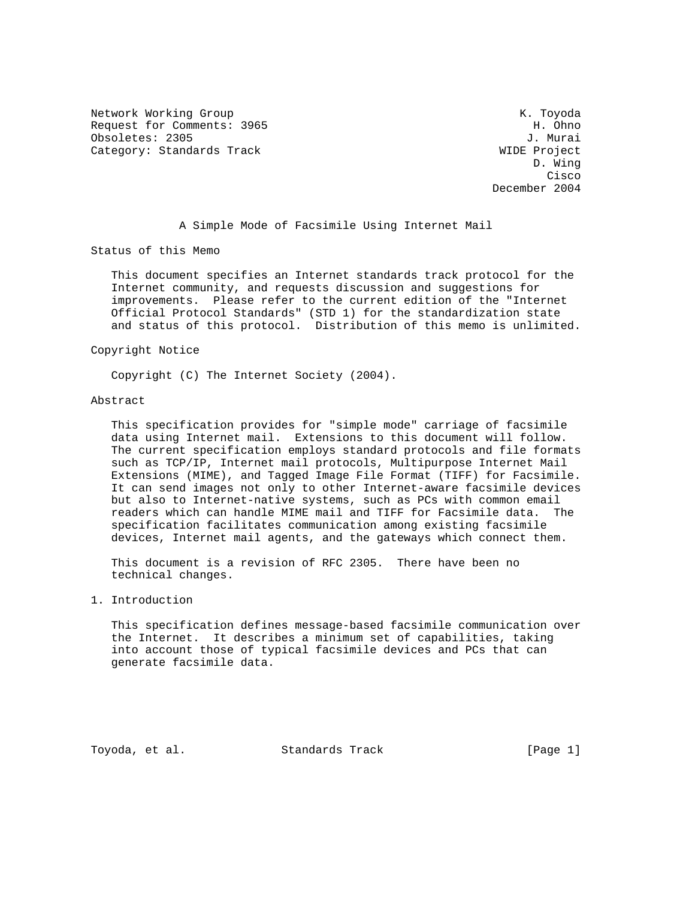Network Working Group and the set of the set of the set of the K. Toyoda Request for Comments: 3965 H. Ohno Obsoletes: 2305 J. Murai Category: Standards Track WIDE Project

 D. Wing **Cisco de la contrata de la contrata de la contrata de la contrata de la contrata de la contrata de la contrat** December 2004

A Simple Mode of Facsimile Using Internet Mail

Status of this Memo

 This document specifies an Internet standards track protocol for the Internet community, and requests discussion and suggestions for improvements. Please refer to the current edition of the "Internet Official Protocol Standards" (STD 1) for the standardization state and status of this protocol. Distribution of this memo is unlimited.

### Copyright Notice

Copyright (C) The Internet Society (2004).

#### Abstract

 This specification provides for "simple mode" carriage of facsimile data using Internet mail. Extensions to this document will follow. The current specification employs standard protocols and file formats such as TCP/IP, Internet mail protocols, Multipurpose Internet Mail Extensions (MIME), and Tagged Image File Format (TIFF) for Facsimile. It can send images not only to other Internet-aware facsimile devices but also to Internet-native systems, such as PCs with common email readers which can handle MIME mail and TIFF for Facsimile data. The specification facilitates communication among existing facsimile devices, Internet mail agents, and the gateways which connect them.

 This document is a revision of RFC 2305. There have been no technical changes.

### 1. Introduction

 This specification defines message-based facsimile communication over the Internet. It describes a minimum set of capabilities, taking into account those of typical facsimile devices and PCs that can generate facsimile data.

Toyoda, et al. Standards Track [Page 1]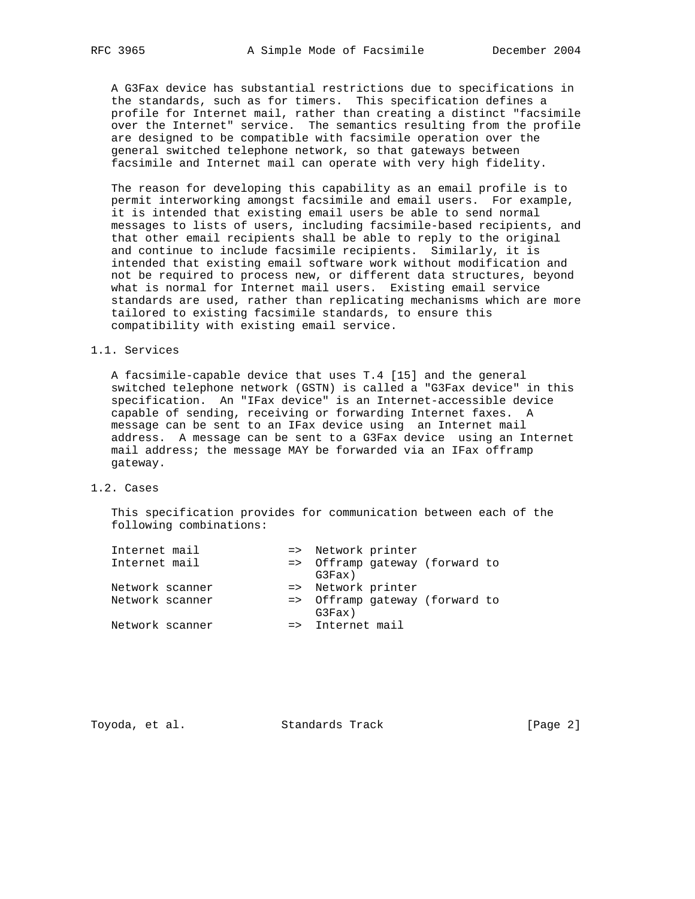A G3Fax device has substantial restrictions due to specifications in the standards, such as for timers. This specification defines a profile for Internet mail, rather than creating a distinct "facsimile over the Internet" service. The semantics resulting from the profile are designed to be compatible with facsimile operation over the general switched telephone network, so that gateways between facsimile and Internet mail can operate with very high fidelity.

 The reason for developing this capability as an email profile is to permit interworking amongst facsimile and email users. For example, it is intended that existing email users be able to send normal messages to lists of users, including facsimile-based recipients, and that other email recipients shall be able to reply to the original and continue to include facsimile recipients. Similarly, it is intended that existing email software work without modification and not be required to process new, or different data structures, beyond what is normal for Internet mail users. Existing email service standards are used, rather than replicating mechanisms which are more tailored to existing facsimile standards, to ensure this compatibility with existing email service.

### 1.1. Services

 A facsimile-capable device that uses T.4 [15] and the general switched telephone network (GSTN) is called a "G3Fax device" in this specification. An "IFax device" is an Internet-accessible device capable of sending, receiving or forwarding Internet faxes. A message can be sent to an IFax device using an Internet mail address. A message can be sent to a G3Fax device using an Internet mail address; the message MAY be forwarded via an IFax offramp gateway.

### 1.2. Cases

 This specification provides for communication between each of the following combinations:

| Internet mail   |  |                    | => Network printer |                                |  |
|-----------------|--|--------------------|--------------------|--------------------------------|--|
| Internet mail   |  | G3Fax)             |                    | => Offramp gateway (forward to |  |
| Network scanner |  | => Network printer |                    |                                |  |
| Network scanner |  | G3Fax)             |                    | => Offramp gateway (forward to |  |
| Network scanner |  | => Internet mail   |                    |                                |  |

Toyoda, et al. Standards Track [Page 2]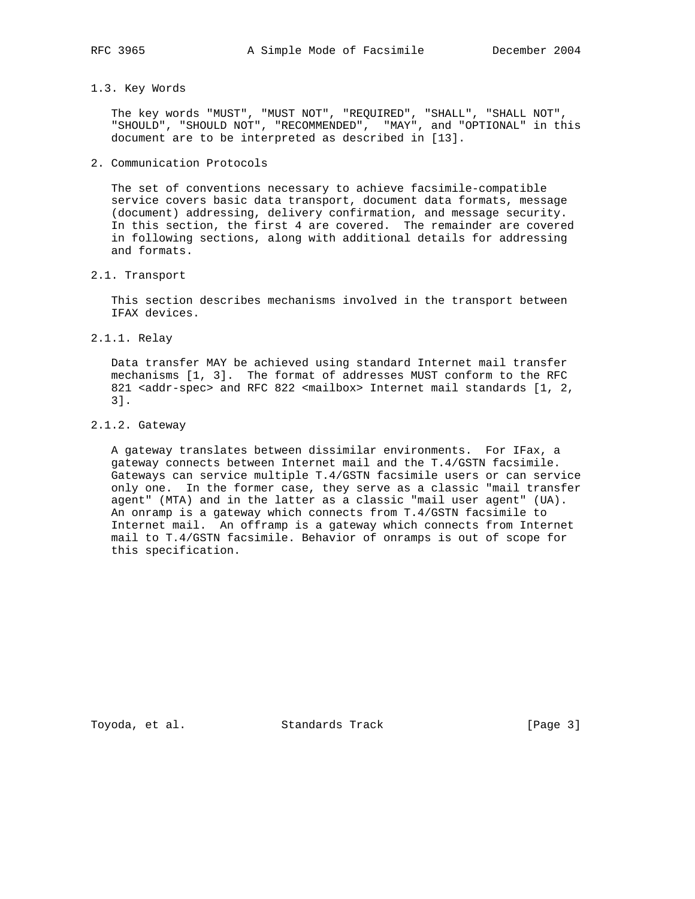- 
- 1.3. Key Words

 The key words "MUST", "MUST NOT", "REQUIRED", "SHALL", "SHALL NOT", "SHOULD", "SHOULD NOT", "RECOMMENDED", "MAY", and "OPTIONAL" in this document are to be interpreted as described in [13].

2. Communication Protocols

 The set of conventions necessary to achieve facsimile-compatible service covers basic data transport, document data formats, message (document) addressing, delivery confirmation, and message security. In this section, the first 4 are covered. The remainder are covered in following sections, along with additional details for addressing and formats.

2.1. Transport

 This section describes mechanisms involved in the transport between IFAX devices.

2.1.1. Relay

 Data transfer MAY be achieved using standard Internet mail transfer mechanisms [1, 3]. The format of addresses MUST conform to the RFC 821 <addr-spec> and RFC 822 <mailbox> Internet mail standards [1, 2, 3].

2.1.2. Gateway

 A gateway translates between dissimilar environments. For IFax, a gateway connects between Internet mail and the T.4/GSTN facsimile. Gateways can service multiple T.4/GSTN facsimile users or can service only one. In the former case, they serve as a classic "mail transfer agent" (MTA) and in the latter as a classic "mail user agent" (UA). An onramp is a gateway which connects from T.4/GSTN facsimile to Internet mail. An offramp is a gateway which connects from Internet mail to T.4/GSTN facsimile. Behavior of onramps is out of scope for this specification.

Toyoda, et al. Standards Track [Page 3]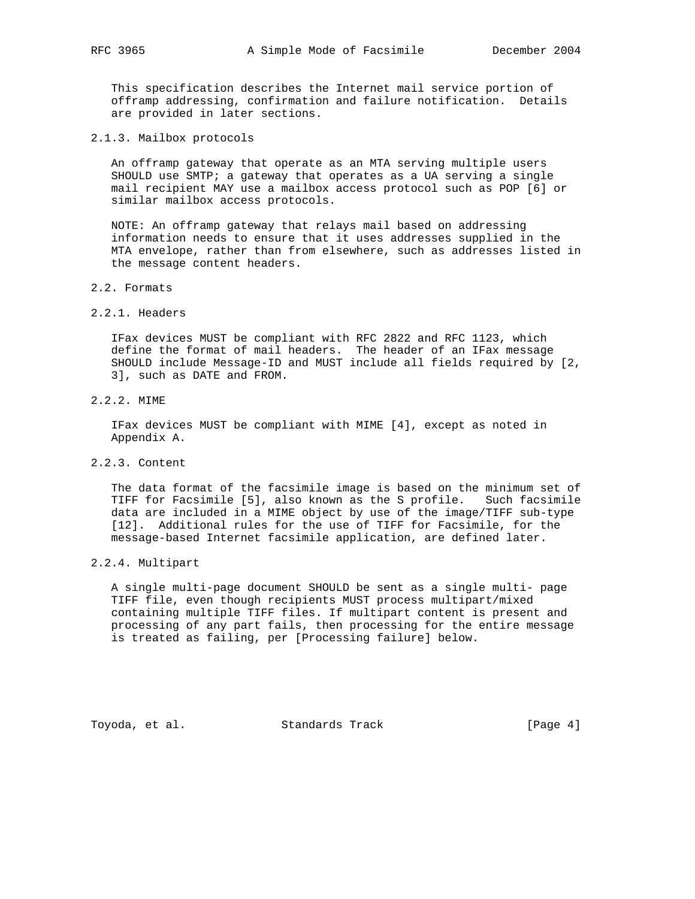This specification describes the Internet mail service portion of offramp addressing, confirmation and failure notification. Details are provided in later sections.

2.1.3. Mailbox protocols

 An offramp gateway that operate as an MTA serving multiple users SHOULD use SMTP; a gateway that operates as a UA serving a single mail recipient MAY use a mailbox access protocol such as POP [6] or similar mailbox access protocols.

 NOTE: An offramp gateway that relays mail based on addressing information needs to ensure that it uses addresses supplied in the MTA envelope, rather than from elsewhere, such as addresses listed in the message content headers.

- 2.2. Formats
- 2.2.1. Headers

 IFax devices MUST be compliant with RFC 2822 and RFC 1123, which define the format of mail headers. The header of an IFax message SHOULD include Message-ID and MUST include all fields required by [2, 3], such as DATE and FROM.

2.2.2. MIME

 IFax devices MUST be compliant with MIME [4], except as noted in Appendix A.

2.2.3. Content

 The data format of the facsimile image is based on the minimum set of TIFF for Facsimile [5], also known as the S profile. Such facsimile data are included in a MIME object by use of the image/TIFF sub-type [12]. Additional rules for the use of TIFF for Facsimile, for the message-based Internet facsimile application, are defined later.

2.2.4. Multipart

 A single multi-page document SHOULD be sent as a single multi- page TIFF file, even though recipients MUST process multipart/mixed containing multiple TIFF files. If multipart content is present and processing of any part fails, then processing for the entire message is treated as failing, per [Processing failure] below.

Toyoda, et al. Standards Track [Page 4]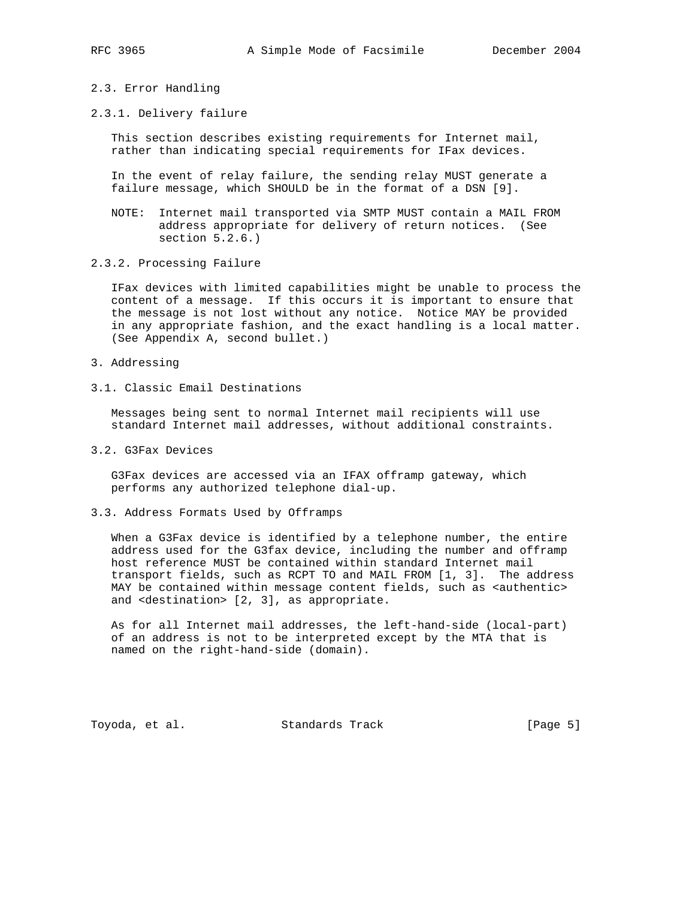- 
- 2.3. Error Handling
- 2.3.1. Delivery failure

 This section describes existing requirements for Internet mail, rather than indicating special requirements for IFax devices.

 In the event of relay failure, the sending relay MUST generate a failure message, which SHOULD be in the format of a DSN [9].

- NOTE: Internet mail transported via SMTP MUST contain a MAIL FROM address appropriate for delivery of return notices. (See section 5.2.6.)
- 2.3.2. Processing Failure

 IFax devices with limited capabilities might be unable to process the content of a message. If this occurs it is important to ensure that the message is not lost without any notice. Notice MAY be provided in any appropriate fashion, and the exact handling is a local matter. (See Appendix A, second bullet.)

- 3. Addressing
- 3.1. Classic Email Destinations

 Messages being sent to normal Internet mail recipients will use standard Internet mail addresses, without additional constraints.

3.2. G3Fax Devices

 G3Fax devices are accessed via an IFAX offramp gateway, which performs any authorized telephone dial-up.

3.3. Address Formats Used by Offramps

 When a G3Fax device is identified by a telephone number, the entire address used for the G3fax device, including the number and offramp host reference MUST be contained within standard Internet mail transport fields, such as RCPT TO and MAIL FROM [1, 3]. The address MAY be contained within message content fields, such as <authentic> and <destination> [2, 3], as appropriate.

 As for all Internet mail addresses, the left-hand-side (local-part) of an address is not to be interpreted except by the MTA that is named on the right-hand-side (domain).

Toyoda, et al. Standards Track [Page 5]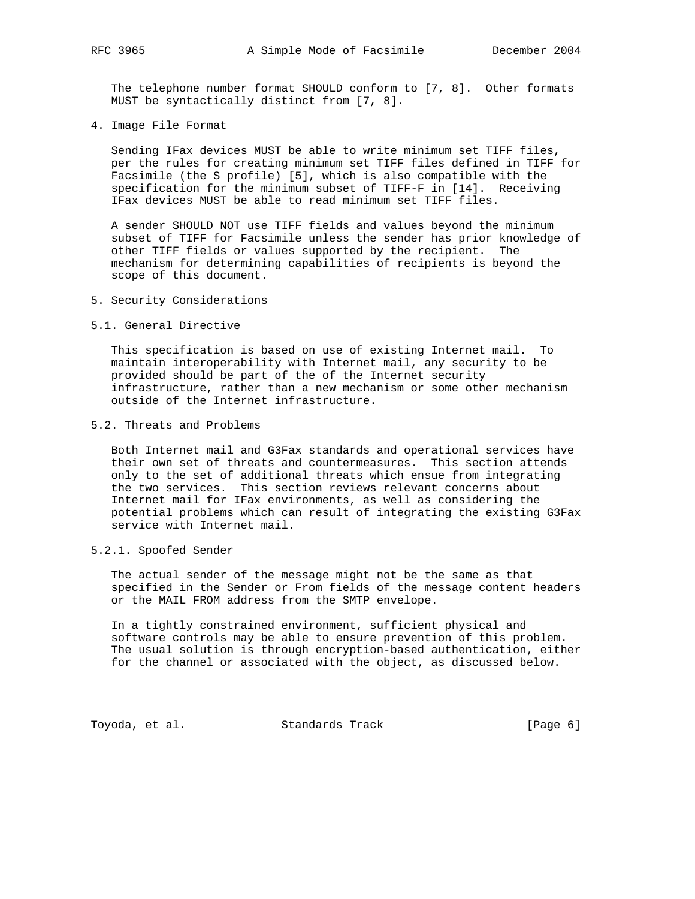The telephone number format SHOULD conform to [7, 8]. Other formats MUST be syntactically distinct from [7, 8].

4. Image File Format

 Sending IFax devices MUST be able to write minimum set TIFF files, per the rules for creating minimum set TIFF files defined in TIFF for Facsimile (the S profile) [5], which is also compatible with the specification for the minimum subset of TIFF-F in [14]. Receiving IFax devices MUST be able to read minimum set TIFF files.

 A sender SHOULD NOT use TIFF fields and values beyond the minimum subset of TIFF for Facsimile unless the sender has prior knowledge of other TIFF fields or values supported by the recipient. The mechanism for determining capabilities of recipients is beyond the scope of this document.

- 5. Security Considerations
- 5.1. General Directive

 This specification is based on use of existing Internet mail. To maintain interoperability with Internet mail, any security to be provided should be part of the of the Internet security infrastructure, rather than a new mechanism or some other mechanism outside of the Internet infrastructure.

5.2. Threats and Problems

 Both Internet mail and G3Fax standards and operational services have their own set of threats and countermeasures. This section attends only to the set of additional threats which ensue from integrating the two services. This section reviews relevant concerns about Internet mail for IFax environments, as well as considering the potential problems which can result of integrating the existing G3Fax service with Internet mail.

5.2.1. Spoofed Sender

 The actual sender of the message might not be the same as that specified in the Sender or From fields of the message content headers or the MAIL FROM address from the SMTP envelope.

 In a tightly constrained environment, sufficient physical and software controls may be able to ensure prevention of this problem. The usual solution is through encryption-based authentication, either for the channel or associated with the object, as discussed below.

Toyoda, et al. Standards Track (Page 6)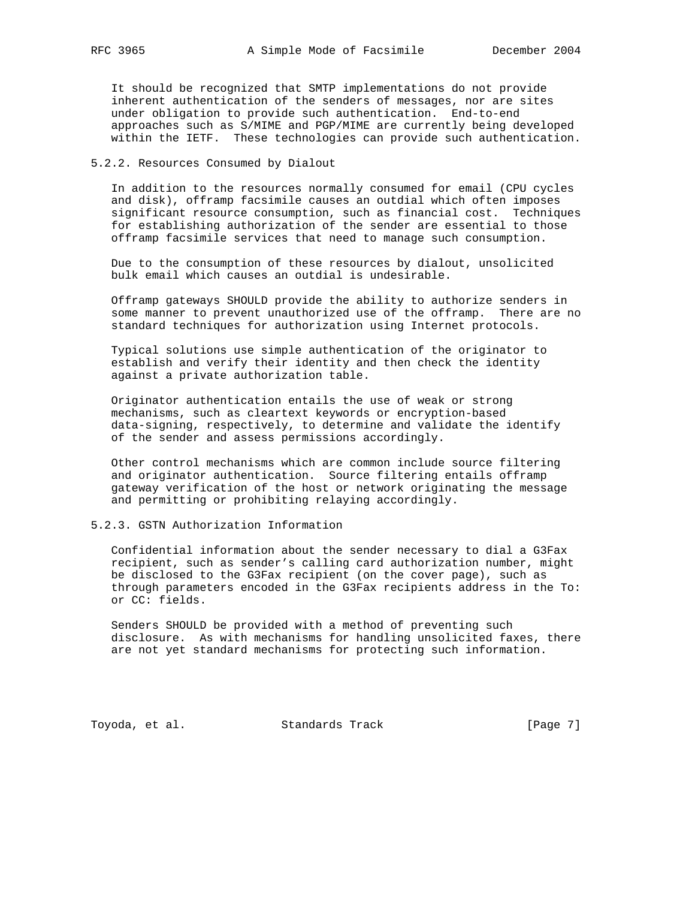It should be recognized that SMTP implementations do not provide inherent authentication of the senders of messages, nor are sites under obligation to provide such authentication. End-to-end approaches such as S/MIME and PGP/MIME are currently being developed within the IETF. These technologies can provide such authentication.

5.2.2. Resources Consumed by Dialout

 In addition to the resources normally consumed for email (CPU cycles and disk), offramp facsimile causes an outdial which often imposes significant resource consumption, such as financial cost. Techniques for establishing authorization of the sender are essential to those offramp facsimile services that need to manage such consumption.

 Due to the consumption of these resources by dialout, unsolicited bulk email which causes an outdial is undesirable.

 Offramp gateways SHOULD provide the ability to authorize senders in some manner to prevent unauthorized use of the offramp. There are no standard techniques for authorization using Internet protocols.

 Typical solutions use simple authentication of the originator to establish and verify their identity and then check the identity against a private authorization table.

 Originator authentication entails the use of weak or strong mechanisms, such as cleartext keywords or encryption-based data-signing, respectively, to determine and validate the identify of the sender and assess permissions accordingly.

 Other control mechanisms which are common include source filtering and originator authentication. Source filtering entails offramp gateway verification of the host or network originating the message and permitting or prohibiting relaying accordingly.

5.2.3. GSTN Authorization Information

 Confidential information about the sender necessary to dial a G3Fax recipient, such as sender's calling card authorization number, might be disclosed to the G3Fax recipient (on the cover page), such as through parameters encoded in the G3Fax recipients address in the To: or CC: fields.

 Senders SHOULD be provided with a method of preventing such disclosure. As with mechanisms for handling unsolicited faxes, there are not yet standard mechanisms for protecting such information.

Toyoda, et al. Standards Track 1999 [Page 7]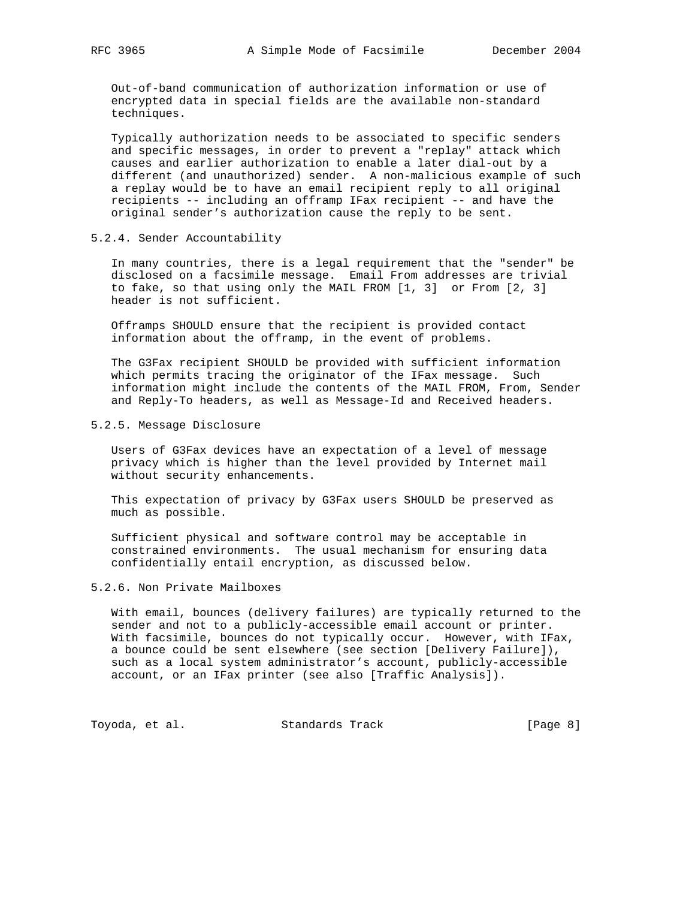Out-of-band communication of authorization information or use of encrypted data in special fields are the available non-standard techniques.

 Typically authorization needs to be associated to specific senders and specific messages, in order to prevent a "replay" attack which causes and earlier authorization to enable a later dial-out by a different (and unauthorized) sender. A non-malicious example of such a replay would be to have an email recipient reply to all original recipients -- including an offramp IFax recipient -- and have the original sender's authorization cause the reply to be sent.

# 5.2.4. Sender Accountability

 In many countries, there is a legal requirement that the "sender" be disclosed on a facsimile message. Email From addresses are trivial to fake, so that using only the MAIL FROM [1, 3] or From [2, 3] header is not sufficient.

 Offramps SHOULD ensure that the recipient is provided contact information about the offramp, in the event of problems.

 The G3Fax recipient SHOULD be provided with sufficient information which permits tracing the originator of the IFax message. Such information might include the contents of the MAIL FROM, From, Sender and Reply-To headers, as well as Message-Id and Received headers.

### 5.2.5. Message Disclosure

 Users of G3Fax devices have an expectation of a level of message privacy which is higher than the level provided by Internet mail without security enhancements.

 This expectation of privacy by G3Fax users SHOULD be preserved as much as possible.

 Sufficient physical and software control may be acceptable in constrained environments. The usual mechanism for ensuring data confidentially entail encryption, as discussed below.

### 5.2.6. Non Private Mailboxes

 With email, bounces (delivery failures) are typically returned to the sender and not to a publicly-accessible email account or printer. With facsimile, bounces do not typically occur. However, with IFax, a bounce could be sent elsewhere (see section [Delivery Failure]), such as a local system administrator's account, publicly-accessible account, or an IFax printer (see also [Traffic Analysis]).

Toyoda, et al. Standards Track [Page 8]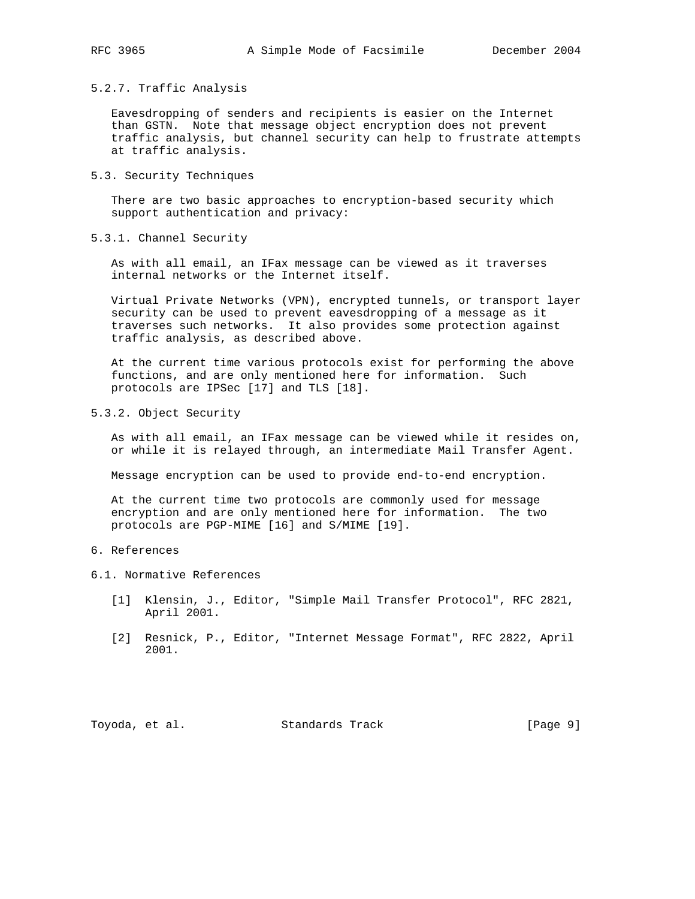#### 5.2.7. Traffic Analysis

 Eavesdropping of senders and recipients is easier on the Internet than GSTN. Note that message object encryption does not prevent traffic analysis, but channel security can help to frustrate attempts at traffic analysis.

5.3. Security Techniques

 There are two basic approaches to encryption-based security which support authentication and privacy:

5.3.1. Channel Security

 As with all email, an IFax message can be viewed as it traverses internal networks or the Internet itself.

 Virtual Private Networks (VPN), encrypted tunnels, or transport layer security can be used to prevent eavesdropping of a message as it traverses such networks. It also provides some protection against traffic analysis, as described above.

 At the current time various protocols exist for performing the above functions, and are only mentioned here for information. Such protocols are IPSec [17] and TLS [18].

5.3.2. Object Security

 As with all email, an IFax message can be viewed while it resides on, or while it is relayed through, an intermediate Mail Transfer Agent.

Message encryption can be used to provide end-to-end encryption.

 At the current time two protocols are commonly used for message encryption and are only mentioned here for information. The two protocols are PGP-MIME [16] and S/MIME [19].

# 6. References

6.1. Normative References

- [1] Klensin, J., Editor, "Simple Mail Transfer Protocol", RFC 2821, April 2001.
- [2] Resnick, P., Editor, "Internet Message Format", RFC 2822, April 2001.

Toyoda, et al. Standards Track [Page 9]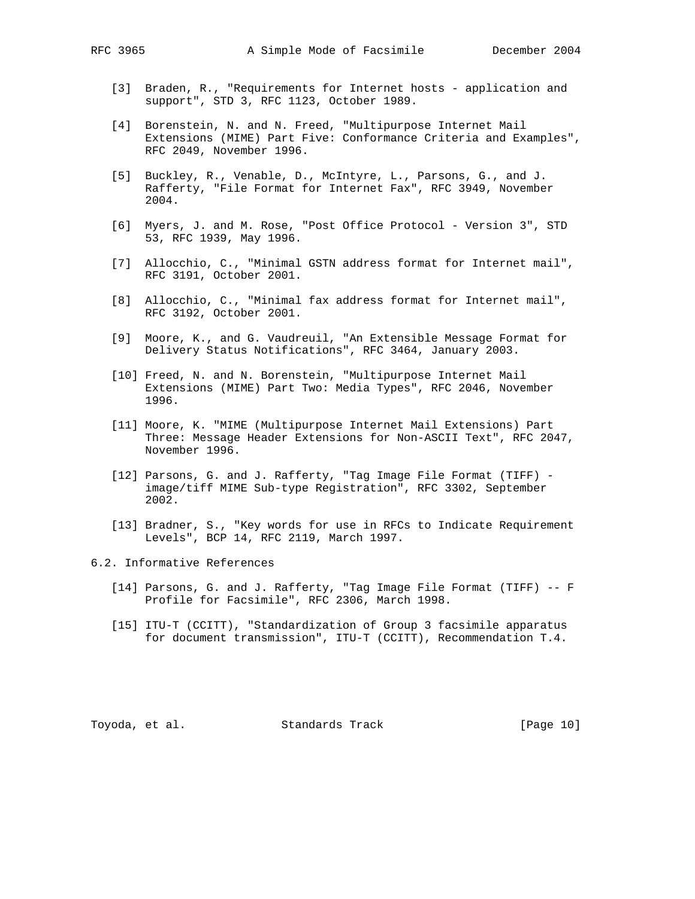- [3] Braden, R., "Requirements for Internet hosts application and support", STD 3, RFC 1123, October 1989.
- [4] Borenstein, N. and N. Freed, "Multipurpose Internet Mail Extensions (MIME) Part Five: Conformance Criteria and Examples", RFC 2049, November 1996.
- [5] Buckley, R., Venable, D., McIntyre, L., Parsons, G., and J. Rafferty, "File Format for Internet Fax", RFC 3949, November 2004.
- [6] Myers, J. and M. Rose, "Post Office Protocol Version 3", STD 53, RFC 1939, May 1996.
- [7] Allocchio, C., "Minimal GSTN address format for Internet mail", RFC 3191, October 2001.
- [8] Allocchio, C., "Minimal fax address format for Internet mail", RFC 3192, October 2001.
- [9] Moore, K., and G. Vaudreuil, "An Extensible Message Format for Delivery Status Notifications", RFC 3464, January 2003.
- [10] Freed, N. and N. Borenstein, "Multipurpose Internet Mail Extensions (MIME) Part Two: Media Types", RFC 2046, November 1996.
- [11] Moore, K. "MIME (Multipurpose Internet Mail Extensions) Part Three: Message Header Extensions for Non-ASCII Text", RFC 2047, November 1996.
- [12] Parsons, G. and J. Rafferty, "Tag Image File Format (TIFF) image/tiff MIME Sub-type Registration", RFC 3302, September 2002.
- [13] Bradner, S., "Key words for use in RFCs to Indicate Requirement Levels", BCP 14, RFC 2119, March 1997.

6.2. Informative References

- [14] Parsons, G. and J. Rafferty, "Tag Image File Format (TIFF) -- F Profile for Facsimile", RFC 2306, March 1998.
- [15] ITU-T (CCITT), "Standardization of Group 3 facsimile apparatus for document transmission", ITU-T (CCITT), Recommendation T.4.

Toyoda, et al. Standards Track [Page 10]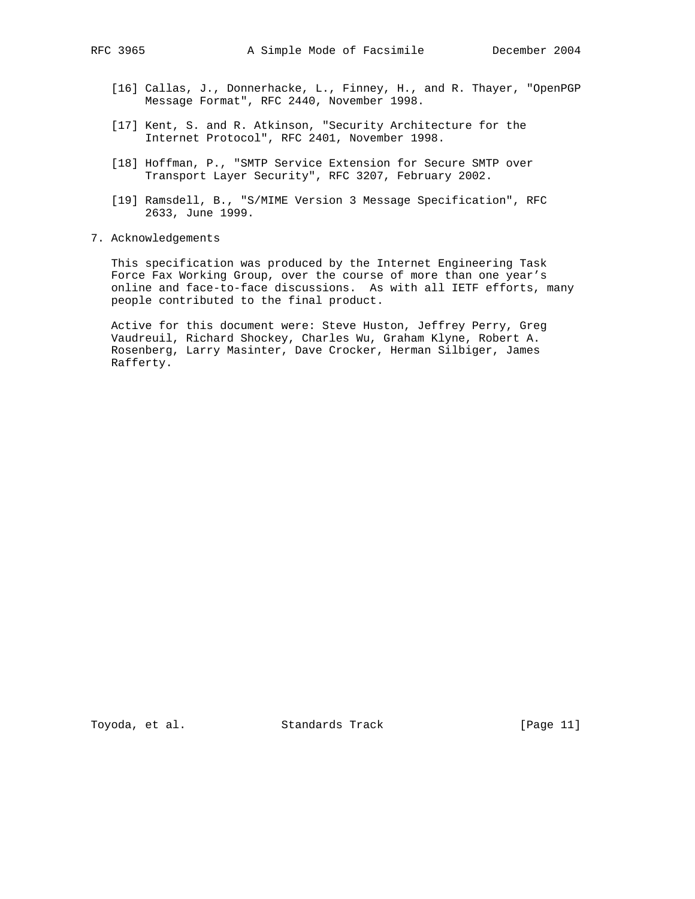- [16] Callas, J., Donnerhacke, L., Finney, H., and R. Thayer, "OpenPGP Message Format", RFC 2440, November 1998.
- [17] Kent, S. and R. Atkinson, "Security Architecture for the Internet Protocol", RFC 2401, November 1998.
- [18] Hoffman, P., "SMTP Service Extension for Secure SMTP over Transport Layer Security", RFC 3207, February 2002.
- [19] Ramsdell, B., "S/MIME Version 3 Message Specification", RFC 2633, June 1999.
- 7. Acknowledgements

 This specification was produced by the Internet Engineering Task Force Fax Working Group, over the course of more than one year's online and face-to-face discussions. As with all IETF efforts, many people contributed to the final product.

 Active for this document were: Steve Huston, Jeffrey Perry, Greg Vaudreuil, Richard Shockey, Charles Wu, Graham Klyne, Robert A. Rosenberg, Larry Masinter, Dave Crocker, Herman Silbiger, James Rafferty.

Toyoda, et al. Standards Track [Page 11]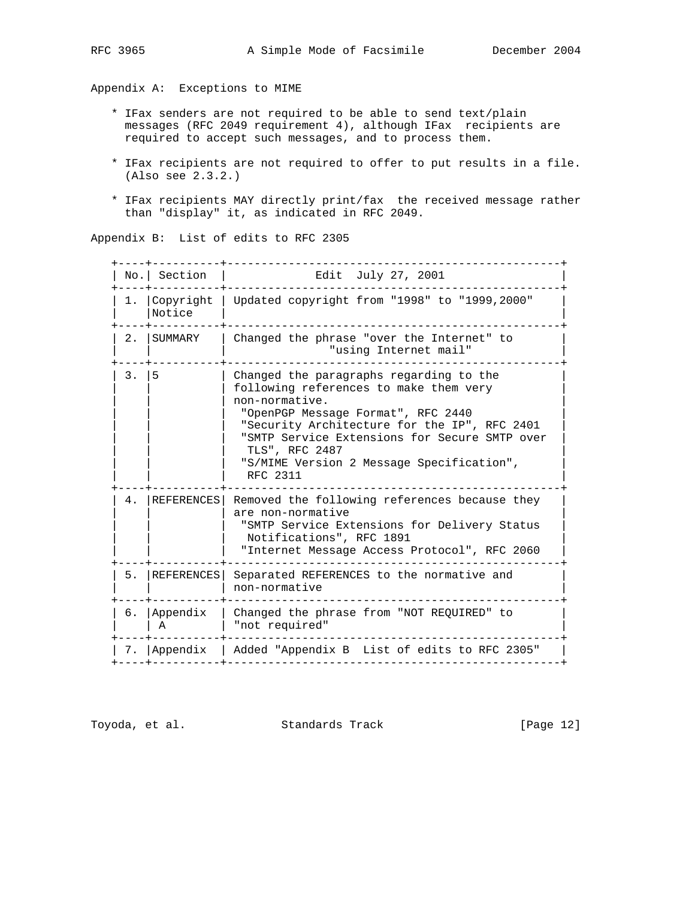Appendix A: Exceptions to MIME

- \* IFax senders are not required to be able to send text/plain messages (RFC 2049 requirement 4), although IFax recipients are required to accept such messages, and to process them.
- \* IFax recipients are not required to offer to put results in a file. (Also see 2.3.2.)
- \* IFax recipients MAY directly print/fax the received message rather than "display" it, as indicated in RFC 2049.

Appendix B: List of edits to RFC 2305

 +----+----------+-------------------------------------------------+ | No.| Section | Edit July 27, 2001 | +----+----------+-------------------------------------------------+ | 1. |Copyright | Updated copyright from "1998" to "1999,2000" | | Notice +----+----------+-------------------------------------------------+  $\vert$  2.  $\vert$  SUMMARY  $\vert$  Changed the phrase "over the Internet" to  $\vert$  | | | "using Internet mail" | +----+----------+-------------------------------------------------+ | 3. | 5 | Changed the paragraphs regarding to the | following references to make them very | non-normative. "OpenPGP Message Format", RFC 2440 "Security Architecture for the IP", RFC 2401 "SMTP Service Extensions for Secure SMTP over | | | TLS", RFC 2487 | | | | "S/MIME Version 2 Message Specification", | RFC 2311 +----+----------+-------------------------------------------------+ | 4. |REFERENCES| Removed the following references because they | are non-normative " SMTP Service Extensions for Delivery Status Notifications", RFC 1891 | "Internet Message Access Protocol", RFC 2060 +----+----------+-------------------------------------------------+ 5. | REFERENCES | Separated REFERENCES to the normative and | non-normative +----+----------+-------------------------------------------------+ | 6. |Appendix | Changed the phrase from "NOT REQUIRED" to | | A | "not required" +----+----------+-------------------------------------------------+ | 7. |Appendix | Added "Appendix B List of edits to RFC 2305" | +----+----------+-------------------------------------------------+

Toyoda, et al. Standards Track [Page 12]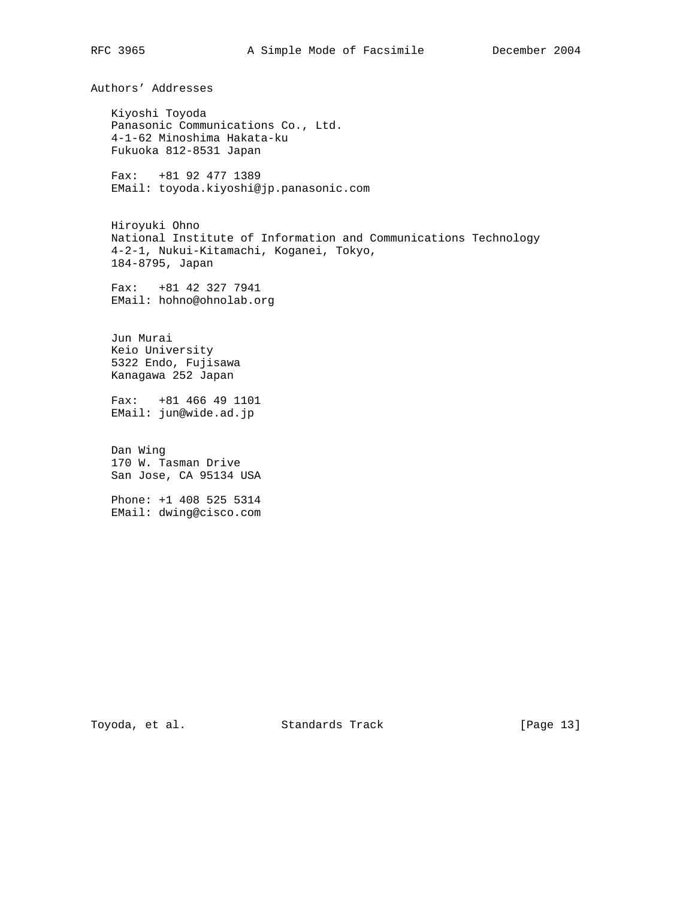Authors' Addresses

 Kiyoshi Toyoda Panasonic Communications Co., Ltd. 4-1-62 Minoshima Hakata-ku Fukuoka 812-8531 Japan

 Fax: +81 92 477 1389 EMail: toyoda.kiyoshi@jp.panasonic.com

 Hiroyuki Ohno National Institute of Information and Communications Technology 4-2-1, Nukui-Kitamachi, Koganei, Tokyo, 184-8795, Japan

 Fax: +81 42 327 7941 EMail: hohno@ohnolab.org

 Jun Murai Keio University 5322 Endo, Fujisawa Kanagawa 252 Japan

 Fax: +81 466 49 1101 EMail: jun@wide.ad.jp

 Dan Wing 170 W. Tasman Drive San Jose, CA 95134 USA

 Phone: +1 408 525 5314 EMail: dwing@cisco.com

Toyoda, et al. Standards Track [Page 13]